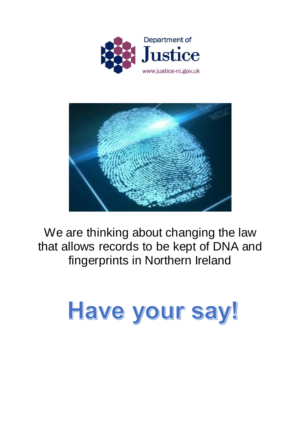



We are thinking about changing the law that allows records to be kept of DNA and fingerprints in Northern Ireland

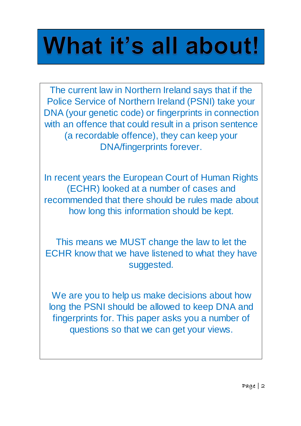# What it's all about!

The current law in Northern Ireland says that if the Police Service of Northern Ireland (PSNI) take your DNA (your genetic code) or fingerprints in connection with an offence that could result in a prison sentence (a recordable offence), they can keep your DNA/fingerprints forever.

In recent years the European Court of Human Rights (ECHR) looked at a number of cases and recommended that there should be rules made about how long this information should be kept.

This means we MUST change the law to let the ECHR know that we have listened to what they have suggested.

We are you to help us make decisions about how long the PSNI should be allowed to keep DNA and fingerprints for. This paper asks you a number of questions so that we can get your views.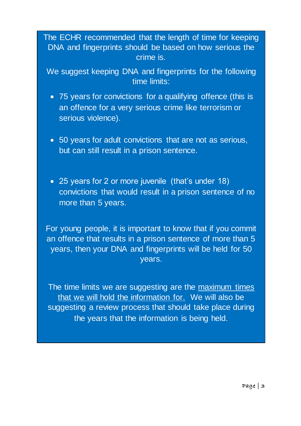The ECHR recommended that the length of time for keeping DNA and fingerprints should be based on how serious the crime is.

We suggest keeping DNA and fingerprints for the following time limits:

- 75 years for convictions for a qualifying offence (this is an offence for a very serious crime like terrorism or serious violence).
- 50 years for adult convictions that are not as serious, but can still result in a prison sentence.
- 25 years for 2 or more juvenile (that's under 18) convictions that would result in a prison sentence of no more than 5 years.

For young people, it is important to know that if you commit an offence that results in a prison sentence of more than 5 years, then your DNA and fingerprints will be held for 50 years.

The time limits we are suggesting are the maximum times that we will hold the information for. We will also be suggesting a review process that should take place during the years that the information is being held.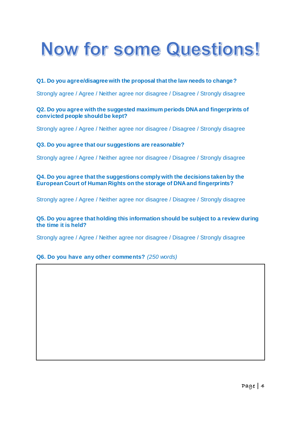## Now for some Questions!

#### **Q1. Do you agree/disagree with the proposal that the law needs to change?**

Strongly agree / Agree / Neither agree nor disagree / Disagree / Strongly disagree

#### **Q2. Do you agree with the suggested maximum periods DNA and fingerprints of convicted people should be kept?**

Strongly agree / Agree / Neither agree nor disagree / Disagree / Strongly disagree

#### **Q3. Do you agree that our suggestions are reasonable?**

Strongly agree / Agree / Neither agree nor disagree / Disagree / Strongly disagree

#### **Q4. Do you agree that the suggestions comply with the decisions taken by the European Court of Human Rights on the storage of DNA and fingerprints?**

Strongly agree / Agree / Neither agree nor disagree / Disagree / Strongly disagree

#### **Q5. Do you agree that holding this information should be subject to a review during the time it is held?**

Strongly agree / Agree / Neither agree nor disagree / Disagree / Strongly disagree

#### **Q6. Do you have any other comments?** *(250 words)*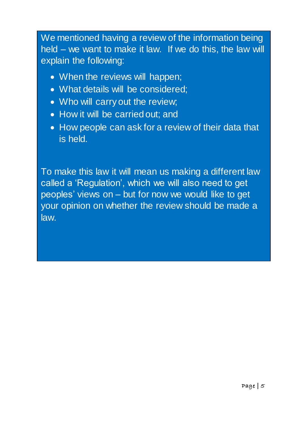We mentioned having a review of the information being held – we want to make it law. If we do this, the law will explain the following:

- When the reviews will happen;
- What details will be considered;
- Who will carry out the review;
- How it will be carried out; and
- How people can ask for a review of their data that is held.

To make this law it will mean us making a different law called a 'Regulation', which we will also need to get peoples' views on – but for now we would like to get your opinion on whether the review should be made a law.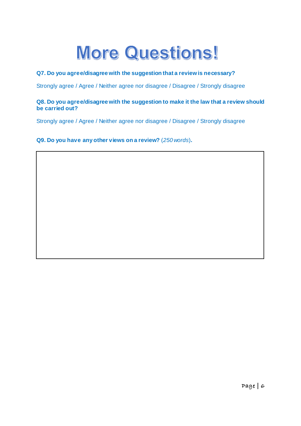## **More Questions!**

#### **Q7. Do you agree/disagree with the suggestion that a review is necessary?**

Strongly agree / Agree / Neither agree nor disagree / Disagree / Strongly disagree

#### **Q8. Do you agree/disagree with the suggestion to make it the law that a review should be carried out?**

Strongly agree / Agree / Neither agree nor disagree / Disagree / Strongly disagree

**Q9. Do you have any other views on a review?** (*250 words*)**.**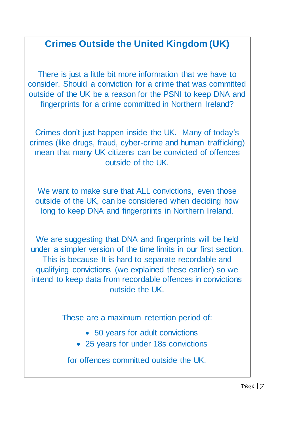### **Crimes Outside the United Kingdom (UK)**

There is just a little bit more information that we have to consider. Should a conviction for a crime that was committed outside of the UK be a reason for the PSNI to keep DNA and fingerprints for a crime committed in Northern Ireland?

Crimes don't just happen inside the UK. Many of today's crimes (like drugs, fraud, cyber-crime and human trafficking) mean that many UK citizens can be convicted of offences outside of the UK.

We want to make sure that ALL convictions, even those outside of the UK, can be considered when deciding how long to keep DNA and fingerprints in Northern Ireland.

We are suggesting that DNA and fingerprints will be held under a simpler version of the time limits in our first section. This is because It is hard to separate recordable and qualifying convictions (we explained these earlier) so we intend to keep data from recordable offences in convictions outside the UK.

These are a maximum retention period of:

- 50 years for adult convictions
- 25 years for under 18s convictions

for offences committed outside the UK.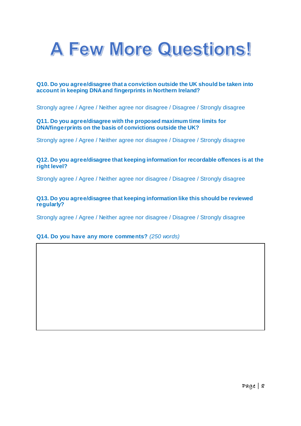

#### **Q10. Do you agree/disagree that a conviction outside the UK should be taken into account in keeping DNA and fingerprints in Northern Ireland?**

Strongly agree / Agree / Neither agree nor disagree / Disagree / Strongly disagree

#### **Q11. Do you agree/disagree with the proposed maximum time limits for DNA/fingerprints on the basis of convictions outside the UK?**

Strongly agree / Agree / Neither agree nor disagree / Disagree / Strongly disagree

#### **Q12. Do you agree/disagree that keeping information for recordable offences is at the right level?**

Strongly agree / Agree / Neither agree nor disagree / Disagree / Strongly disagree

#### **Q13. Do you agree/disagree that keeping information like this should be reviewed regularly?**

Strongly agree / Agree / Neither agree nor disagree / Disagree / Strongly disagree

#### **Q14. Do you have any more comments?** *(250 words)*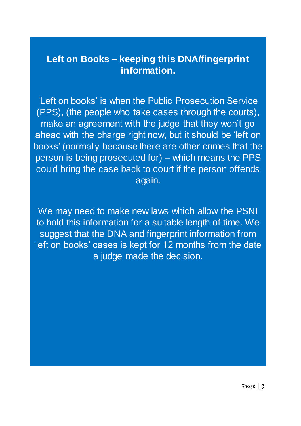### **Left on Books – keeping this DNA/fingerprint information.**

'Left on books' is when the Public Prosecution Service (PPS), (the people who take cases through the courts), make an agreement with the judge that they won't go ahead with the charge right now, but it should be 'left on books' (normally because there are other crimes that the person is being prosecuted for) – which means the PPS could bring the case back to court if the person offends again.

We may need to make new laws which allow the PSNI to hold this information for a suitable length of time. We suggest that the DNA and fingerprint information from 'left on books' cases is kept for 12 months from the date a judge made the decision.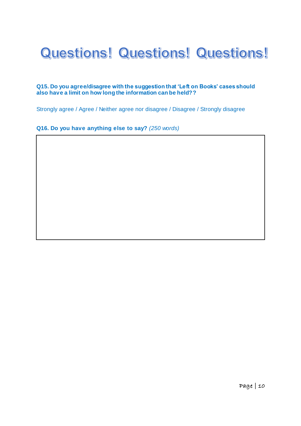## Questions! Questions! Questions!

#### **Q15. Do you agree/disagree with the suggestion that 'Left on Books' cases should also have a limit on how long the information can be held??**

Strongly agree / Agree / Neither agree nor disagree / Disagree / Strongly disagree

#### **Q16. Do you have anything else to say?** *(250 words)*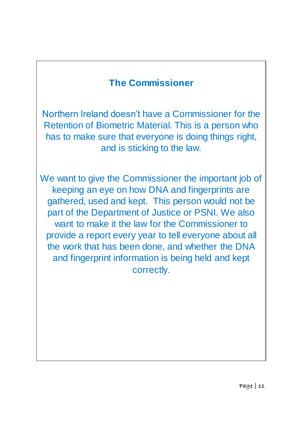### **The Commissioner**

Northern Ireland doesn't have a Commissioner for the Retention of Biometric Material. This is a person who has to make sure that everyone is doing things right, and is sticking to the law.

We want to give the Commissioner the important job of keeping an eye on how DNA and fingerprints are gathered, used and kept. This person would not be part of the Department of Justice or PSNI. We also want to make it the law for the Commissioner to provide a report every year to tell everyone about all the work that has been done, and whether the DNA and fingerprint information is being held and kept correctly.